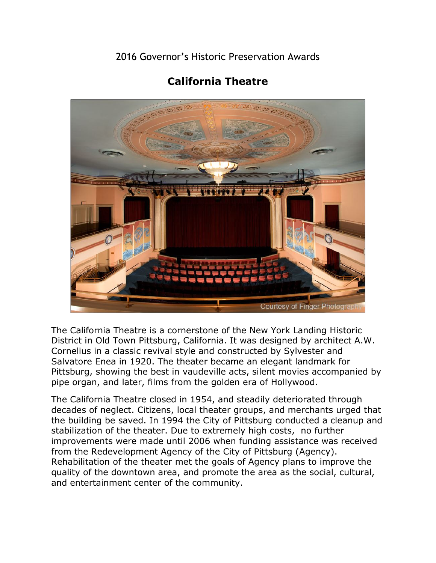2016 Governor's Historic Preservation Awards



## **California Theatre**

The California Theatre is a cornerstone of the New York Landing Historic District in Old Town Pittsburg, California. It was designed by architect A.W. Cornelius in a classic revival style and constructed by Sylvester and Salvatore Enea in 1920. The theater became an elegant landmark for Pittsburg, showing the best in vaudeville acts, silent movies accompanied by pipe organ, and later, films from the golden era of Hollywood.

The California Theatre closed in 1954, and steadily deteriorated through decades of neglect. Citizens, local theater groups, and merchants urged that the building be saved. In 1994 the City of Pittsburg conducted a cleanup and stabilization of the theater. Due to extremely high costs, no further improvements were made until 2006 when funding assistance was received from the Redevelopment Agency of the City of Pittsburg (Agency). Rehabilitation of the theater met the goals of Agency plans to improve the quality of the downtown area, and promote the area as the social, cultural, and entertainment center of the community.